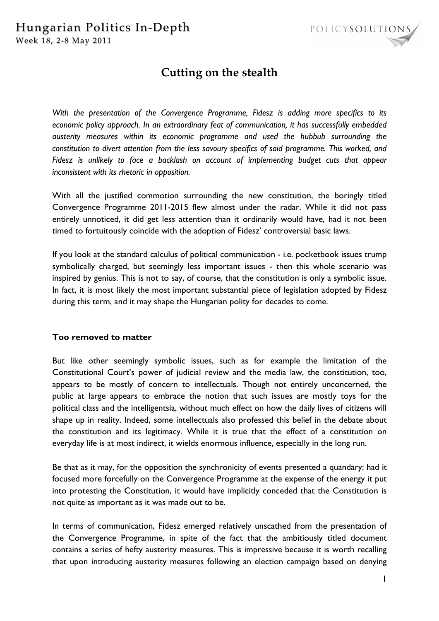

# **Cutting on the stealth**

*With the presentation of the Convergence Programme, Fidesz is adding more specifics to its economic policy approach. In an extraordinary feat of communication, it has successfully embedded austerity measures within its economic programme and used the hubbub surrounding the constitution to divert attention from the less savoury specifics of said programme. This worked, and Fidesz is unlikely to face a backlash on account of implementing budget cuts that appear inconsistent with its rhetoric in opposition.* 

With all the justified commotion surrounding the new constitution, the boringly titled Convergence Programme 2011-2015 flew almost under the radar. While it did not pass entirely unnoticed, it did get less attention than it ordinarily would have, had it not been timed to fortuitously coincide with the adoption of Fidesz' controversial basic laws.

If you look at the standard calculus of political communication - i.e. pocketbook issues trump symbolically charged, but seemingly less important issues - then this whole scenario was inspired by genius. This is not to say, of course, that the constitution is only a symbolic issue. In fact, it is most likely the most important substantial piece of legislation adopted by Fidesz during this term, and it may shape the Hungarian polity for decades to come.

## **Too removed to matter**

But like other seemingly symbolic issues, such as for example the limitation of the Constitutional Court's power of judicial review and the media law, the constitution, too, appears to be mostly of concern to intellectuals. Though not entirely unconcerned, the public at large appears to embrace the notion that such issues are mostly toys for the political class and the intelligentsia, without much effect on how the daily lives of citizens will shape up in reality. Indeed, some intellectuals also professed this belief in the debate about the constitution and its legitimacy. While it is true that the effect of a constitution on everyday life is at most indirect, it wields enormous influence, especially in the long run.

Be that as it may, for the opposition the synchronicity of events presented a quandary: had it focused more forcefully on the Convergence Programme at the expense of the energy it put into protesting the Constitution, it would have implicitly conceded that the Constitution is not quite as important as it was made out to be.

In terms of communication, Fidesz emerged relatively unscathed from the presentation of the Convergence Programme, in spite of the fact that the ambitiously titled document contains a series of hefty austerity measures. This is impressive because it is worth recalling that upon introducing austerity measures following an election campaign based on denying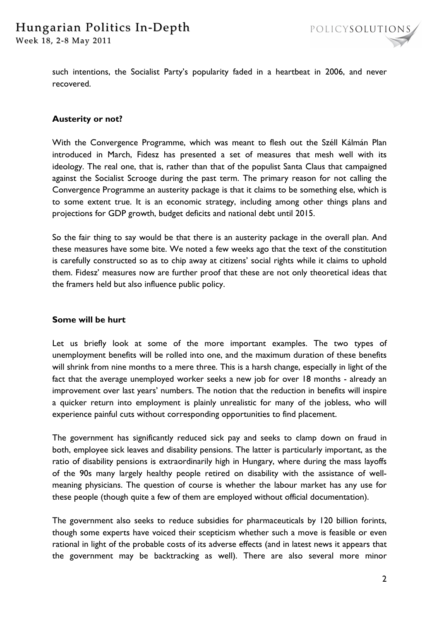such intentions, the Socialist Party's popularity faded in a heartbeat in 2006, and never recovered.

# **Austerity or not?**

With the Convergence Programme, which was meant to flesh out the Széll Kálmán Plan introduced in March, Fidesz has presented a set of measures that mesh well with its ideology. The real one, that is, rather than that of the populist Santa Claus that campaigned against the Socialist Scrooge during the past term. The primary reason for not calling the Convergence Programme an austerity package is that it claims to be something else, which is to some extent true. It is an economic strategy, including among other things plans and projections for GDP growth, budget deficits and national debt until 2015.

So the fair thing to say would be that there is an austerity package in the overall plan. And these measures have some bite. We noted a few weeks ago that the text of the constitution is carefully constructed so as to chip away at citizens' social rights while it claims to uphold them. Fidesz' measures now are further proof that these are not only theoretical ideas that the framers held but also influence public policy.

## **Some will be hurt**

Let us briefly look at some of the more important examples. The two types of unemployment benefits will be rolled into one, and the maximum duration of these benefits will shrink from nine months to a mere three. This is a harsh change, especially in light of the fact that the average unemployed worker seeks a new job for over 18 months - already an improvement over last years' numbers. The notion that the reduction in benefits will inspire a quicker return into employment is plainly unrealistic for many of the jobless, who will experience painful cuts without corresponding opportunities to find placement.

The government has significantly reduced sick pay and seeks to clamp down on fraud in both, employee sick leaves and disability pensions. The latter is particularly important, as the ratio of disability pensions is extraordinarily high in Hungary, where during the mass layoffs of the 90s many largely healthy people retired on disability with the assistance of wellmeaning physicians. The question of course is whether the labour market has any use for these people (though quite a few of them are employed without official documentation).

The government also seeks to reduce subsidies for pharmaceuticals by 120 billion forints, though some experts have voiced their scepticism whether such a move is feasible or even rational in light of the probable costs of its adverse effects (and in latest news it appears that the government may be backtracking as well). There are also several more minor